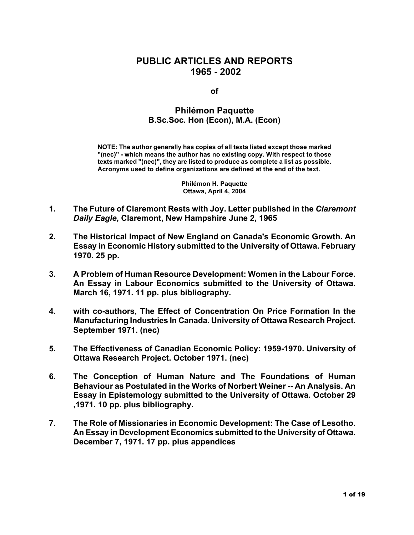## **PUBLIC ARTICLES AND REPORTS 1965 - 2002**

**of**

## **Philémon Paquette B.Sc.Soc. Hon (Econ), M.A. (Econ)**

**NOTE: The author generally has copies of all texts listed except those marked "(nec)" - which means the author has no existing copy. With respect to those texts marked "(nec)", they are listed to produce as complete a list as possible. Acronyms used to define organizations are defined at the end of the text.**

> **Philémon H. Paquette Ottawa, April 4, 2004**

- **1. The Future of Claremont Rests with Joy. Letter published in the** *Claremont Daily Eagle***, Claremont, New Hampshire June 2, 1965**
- **2. The Historical Impact of New England on Canada's Economic Growth. An Essay in Economic History submitted to the University of Ottawa. February 1970. 25 pp.**
- **3. A Problem of Human Resource Development: Women in the Labour Force. An Essay in Labour Economics submitted to the University of Ottawa. March 16, 1971. 11 pp. plus bibliography.**
- **4. with co-authors, The Effect of Concentration On Price Formation In the Manufacturing Industries In Canada. University of Ottawa Research Project. September 1971. (nec)**
- **5. The Effectiveness of Canadian Economic Policy: 1959-1970. University of Ottawa Research Project. October 1971. (nec)**
- **6. The Conception of Human Nature and The Foundations of Human Behaviour as Postulated in the Works of Norbert Weiner -- An Analysis. An Essay in Epistemology submitted to the University of Ottawa. October 29 ,1971. 10 pp. plus bibliography.**
- **7. The Role of Missionaries in Economic Development: The Case of Lesotho. An Essay in Development Economics submitted to the University of Ottawa. December 7, 1971. 17 pp. plus appendices**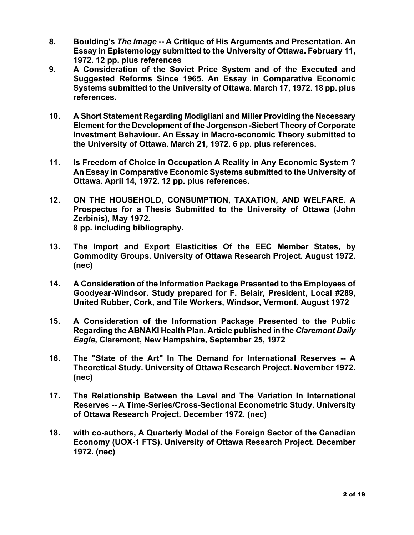- **8. Boulding's** *The Image* **-- A Critique of His Arguments and Presentation. An Essay in Epistemology submitted to the University of Ottawa. February 11, 1972. 12 pp. plus references**
- **9. A Consideration of the Soviet Price System and of the Executed and Suggested Reforms Since 1965. An Essay in Comparative Economic Systems submitted to the University of Ottawa. March 17, 1972. 18 pp. plus references.**
- **10. A Short Statement Regarding Modigliani and Miller Providing the Necessary Element for the Development of the Jorgenson -Siebert Theory of Corporate Investment Behaviour. An Essay in Macro-economic Theory submitted to the University of Ottawa. March 21, 1972. 6 pp. plus references.**
- **11. Is Freedom of Choice in Occupation A Reality in Any Economic System ? An Essay in Comparative Economic Systems submitted to the University of Ottawa. April 14, 1972. 12 pp. plus references.**
- **12. ON THE HOUSEHOLD, CONSUMPTION, TAXATION, AND WELFARE. A Prospectus for a Thesis Submitted to the University of Ottawa (John Zerbinis), May 1972. 8 pp. including bibliography.**
- **13. The Import and Export Elasticities Of the EEC Member States, by Commodity Groups. University of Ottawa Research Project. August 1972. (nec)**
- **14. A Consideration of the Information Package Presented to the Employees of Goodyear-Windsor. Study prepared for F. Belair, President, Local #289, United Rubber, Cork, and Tile Workers, Windsor, Vermont. August 1972**
- **15. A Consideration of the Information Package Presented to the Public Regarding the ABNAKI Health Plan. Article published in the** *Claremont Daily Eagle***, Claremont, New Hampshire, September 25, 1972**
- **16. The "State of the Art" In The Demand for International Reserves -- A Theoretical Study. University of Ottawa Research Project. November 1972. (nec)**
- **17. The Relationship Between the Level and The Variation In International Reserves -- A Time-Series/Cross-Sectional Econometric Study. University of Ottawa Research Project. December 1972. (nec)**
- **18. with co-authors, A Quarterly Model of the Foreign Sector of the Canadian Economy (UOX-1 FTS). University of Ottawa Research Project. December 1972. (nec)**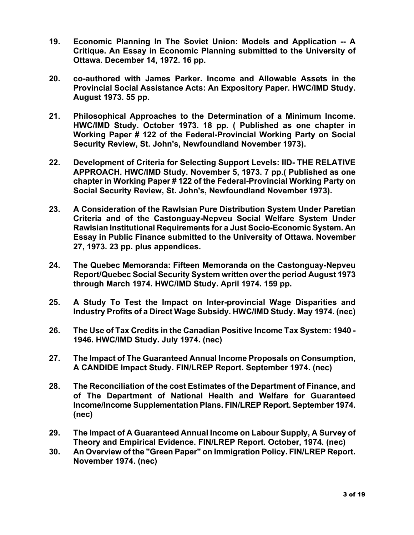- **19. Economic Planning In The Soviet Union: Models and Application -- A Critique. An Essay in Economic Planning submitted to the University of Ottawa. December 14, 1972. 16 pp.**
- **20. co-authored with James Parker. Income and Allowable Assets in the Provincial Social Assistance Acts: An Expository Paper. HWC/IMD Study. August 1973. 55 pp.**
- **21. Philosophical Approaches to the Determination of a Minimum Income. HWC/IMD Study. October 1973. 18 pp. ( Published as one chapter in Working Paper # 122 of the Federal-Provincial Working Party on Social Security Review, St. John's, Newfoundland November 1973).**
- **22. Development of Criteria for Selecting Support Levels: IID- THE RELATIVE APPROACH. HWC/IMD Study. November 5, 1973. 7 pp.( Published as one chapter in Working Paper # 122 of the Federal-Provincial Working Party on Social Security Review, St. John's, Newfoundland November 1973).**
- **23. A Consideration of the Rawlsian Pure Distribution System Under Paretian Criteria and of the Castonguay-Nepveu Social Welfare System Under Rawlsian Institutional Requirements for a Just Socio-Economic System. An Essay in Public Finance submitted to the University of Ottawa. November 27, 1973. 23 pp. plus appendices.**
- **24. The Quebec Memoranda: Fifteen Memoranda on the Castonguay-Nepveu Report/Quebec Social Security System written over the period August 1973 through March 1974. HWC/IMD Study. April 1974. 159 pp.**
- **25. A Study To Test the Impact on Inter-provincial Wage Disparities and Industry Profits of a Direct Wage Subsidy. HWC/IMD Study. May 1974. (nec)**
- **26. The Use of Tax Credits in the Canadian Positive Income Tax System: 1940 - 1946. HWC/IMD Study. July 1974. (nec)**
- **27. The Impact of The Guaranteed Annual Income Proposals on Consumption, A CANDIDE Impact Study. FIN/LREP Report. September 1974. (nec)**
- **28. The Reconciliation of the cost Estimates of the Department of Finance, and of The Department of National Health and Welfare for Guaranteed Income/Income Supplementation Plans. FIN/LREP Report. September 1974. (nec)**
- **29. The Impact of A Guaranteed Annual Income on Labour Supply, A Survey of Theory and Empirical Evidence. FIN/LREP Report. October, 1974. (nec)**
- **30. An Overview of the "Green Paper" on Immigration Policy. FIN/LREP Report. November 1974. (nec)**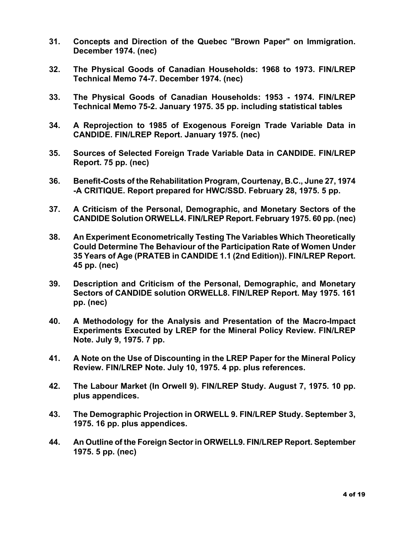- **31. Concepts and Direction of the Quebec "Brown Paper" on Immigration. December 1974. (nec)**
- **32. The Physical Goods of Canadian Households: 1968 to 1973. FIN/LREP Technical Memo 74-7. December 1974. (nec)**
- **33. The Physical Goods of Canadian Households: 1953 - 1974. FIN/LREP Technical Memo 75-2. January 1975. 35 pp. including statistical tables**
- **34. A Reprojection to 1985 of Exogenous Foreign Trade Variable Data in CANDIDE. FIN/LREP Report. January 1975. (nec)**
- **35. Sources of Selected Foreign Trade Variable Data in CANDIDE. FIN/LREP Report. 75 pp. (nec)**
- **36. Benefit-Costs of the Rehabilitation Program, Courtenay, B.C., June 27, 1974 -A CRITIQUE. Report prepared for HWC/SSD. February 28, 1975. 5 pp.**
- **37. A Criticism of the Personal, Demographic, and Monetary Sectors of the CANDIDE Solution ORWELL4. FIN/LREP Report. February 1975. 60 pp. (nec)**
- **38. An Experiment Econometrically Testing The Variables Which Theoretically Could Determine The Behaviour of the Participation Rate of Women Under 35 Years of Age (PRATEB in CANDIDE 1.1 (2nd Edition)). FIN/LREP Report. 45 pp. (nec)**
- **39. Description and Criticism of the Personal, Demographic, and Monetary Sectors of CANDIDE solution ORWELL8. FIN/LREP Report. May 1975. 161 pp. (nec)**
- **40. A Methodology for the Analysis and Presentation of the Macro-Impact Experiments Executed by LREP for the Mineral Policy Review. FIN/LREP Note. July 9, 1975. 7 pp.**
- **41. A Note on the Use of Discounting in the LREP Paper for the Mineral Policy Review. FIN/LREP Note. July 10, 1975. 4 pp. plus references.**
- **42. The Labour Market (In Orwell 9). FIN/LREP Study. August 7, 1975. 10 pp. plus appendices.**
- **43. The Demographic Projection in ORWELL 9. FIN/LREP Study. September 3, 1975. 16 pp. plus appendices.**
- **44. An Outline of the Foreign Sector in ORWELL9. FIN/LREP Report. September 1975. 5 pp. (nec)**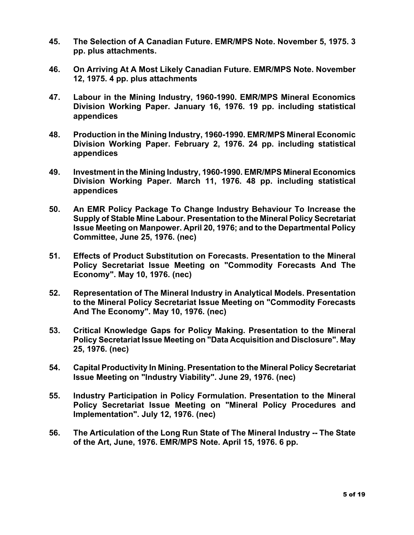- **45. The Selection of A Canadian Future. EMR/MPS Note. November 5, 1975. 3 pp. plus attachments.**
- **46. On Arriving At A Most Likely Canadian Future. EMR/MPS Note. November 12, 1975. 4 pp. plus attachments**
- **47. Labour in the Mining Industry, 1960-1990. EMR/MPS Mineral Economics Division Working Paper. January 16, 1976. 19 pp. including statistical appendices**
- **48. Production in the Mining Industry, 1960-1990. EMR/MPS Mineral Economic Division Working Paper. February 2, 1976. 24 pp. including statistical appendices**
- **49. Investment in the Mining Industry, 1960-1990. EMR/MPS Mineral Economics Division Working Paper. March 11, 1976. 48 pp. including statistical appendices**
- **50. An EMR Policy Package To Change Industry Behaviour To Increase the Supply of Stable Mine Labour. Presentation to the Mineral Policy Secretariat Issue Meeting on Manpower. April 20, 1976; and to the Departmental Policy Committee, June 25, 1976. (nec)**
- **51. Effects of Product Substitution on Forecasts. Presentation to the Mineral Policy Secretariat Issue Meeting on "Commodity Forecasts And The Economy". May 10, 1976. (nec)**
- **52. Representation of The Mineral Industry in Analytical Models. Presentation to the Mineral Policy Secretariat Issue Meeting on "Commodity Forecasts And The Economy". May 10, 1976. (nec)**
- **53. Critical Knowledge Gaps for Policy Making. Presentation to the Mineral Policy Secretariat Issue Meeting on "Data Acquisition and Disclosure". May 25, 1976. (nec)**
- **54. Capital Productivity In Mining. Presentation to the Mineral Policy Secretariat Issue Meeting on "Industry Viability". June 29, 1976. (nec)**
- **55. Industry Participation in Policy Formulation. Presentation to the Mineral Policy Secretariat Issue Meeting on "Mineral Policy Procedures and Implementation". July 12, 1976. (nec)**
- **56. The Articulation of the Long Run State of The Mineral Industry -- The State of the Art, June, 1976. EMR/MPS Note. April 15, 1976. 6 pp.**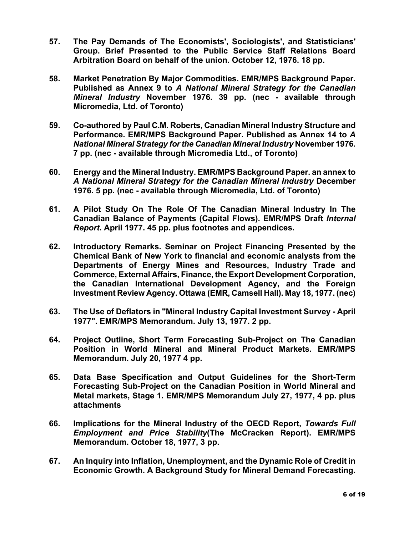- **57. The Pay Demands of The Economists', Sociologists', and Statisticians' Group. Brief Presented to the Public Service Staff Relations Board Arbitration Board on behalf of the union. October 12, 1976. 18 pp.**
- **58. Market Penetration By Major Commodities. EMR/MPS Background Paper. Published as Annex 9 to** *A National Mineral Strategy for the Canadian Mineral Industry* **November 1976. 39 pp. (nec - available through Micromedia, Ltd. of Toronto)**
- **59. Co-authored by Paul C.M. Roberts, Canadian Mineral Industry Structure and Performance. EMR/MPS Background Paper. Published as Annex 14 to** *A National Mineral Strategy for the Canadian Mineral Industry* **November 1976. 7 pp. (nec - available through Micromedia Ltd., of Toronto)**
- **60. Energy and the Mineral Industry. EMR/MPS Background Paper. an annex to**  *A National Mineral Strategy for the Canadian Mineral Industry* **December 1976. 5 pp. (nec - available through Micromedia, Ltd. of Toronto)**
- **61. A Pilot Study On The Role Of The Canadian Mineral Industry In The Canadian Balance of Payments (Capital Flows). EMR/MPS Draft** *Internal Report***. April 1977. 45 pp. plus footnotes and appendices.**
- **62. Introductory Remarks. Seminar on Project Financing Presented by the Chemical Bank of New York to financial and economic analysts from the Departments of Energy Mines and Resources, Industry Trade and Commerce, External Affairs, Finance, the Export Development Corporation, the Canadian International Development Agency, and the Foreign Investment Review Agency. Ottawa (EMR, Camsell Hall). May 18, 1977. (nec)**
- **63. The Use of Deflators in "Mineral Industry Capital Investment Survey - April 1977". EMR/MPS Memorandum. July 13, 1977. 2 pp.**
- **64. Project Outline, Short Term Forecasting Sub-Project on The Canadian Position in World Mineral and Mineral Product Markets. EMR/MPS Memorandum. July 20, 1977 4 pp.**
- **65. Data Base Specification and Output Guidelines for the Short-Term Forecasting Sub-Project on the Canadian Position in World Mineral and Metal markets, Stage 1. EMR/MPS Memorandum July 27, 1977, 4 pp. plus attachments**
- **66. Implications for the Mineral Industry of the OECD Report,** *Towards Full Employment and Price Stability***(The McCracken Report). EMR/MPS Memorandum. October 18, 1977, 3 pp.**
- **67. An Inquiry into Inflation, Unemployment, and the Dynamic Role of Credit in Economic Growth. A Background Study for Mineral Demand Forecasting.**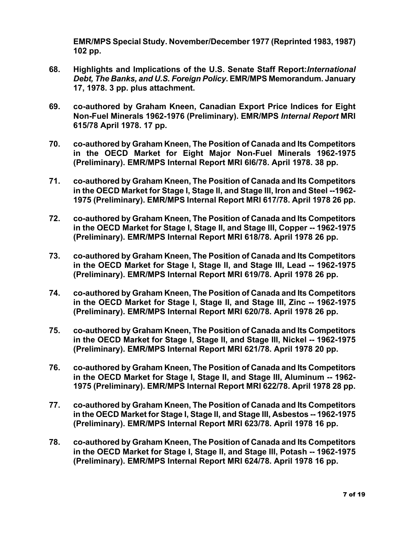**EMR/MPS Special Study. November/December 1977 (Reprinted 1983, 1987) 102 pp.**

- **68. Highlights and Implications of the U.S. Senate Staff Report:***International Debt, The Banks, and U.S. Foreign Policy***. EMR/MPS Memorandum. January 17, 1978. 3 pp. plus attachment.**
- **69. co-authored by Graham Kneen, Canadian Export Price Indices for Eight Non-Fuel Minerals 1962-1976 (Preliminary). EMR/MPS** *Internal Report* **MRI 615/78 April 1978. 17 pp.**
- **70. co-authored by Graham Kneen, The Position of Canada and Its Competitors in the OECD Market for Eight Major Non-Fuel Minerals 1962-1975 (Preliminary). EMR/MPS Internal Report MRI 6l6/78. April 1978. 38 pp.**
- **71. co-authored by Graham Kneen, The Position of Canada and Its Competitors in the OECD Market for Stage I, Stage II, and Stage III, Iron and Steel --1962- 1975 (Preliminary). EMR/MPS Internal Report MRI 617/78. April 1978 26 pp.**
- **72. co-authored by Graham Kneen, The Position of Canada and Its Competitors in the OECD Market for Stage I, Stage II, and Stage III, Copper -- 1962-1975 (Preliminary). EMR/MPS Internal Report MRI 618/78. April 1978 26 pp.**
- **73. co-authored by Graham Kneen, The Position of Canada and Its Competitors in the OECD Market for Stage I, Stage II, and Stage III, Lead -- 1962-1975 (Preliminary). EMR/MPS Internal Report MRI 619/78. April 1978 26 pp.**
- **74. co-authored by Graham Kneen, The Position of Canada and Its Competitors in the OECD Market for Stage I, Stage II, and Stage III, Zinc -- 1962-1975 (Preliminary). EMR/MPS Internal Report MRI 620/78. April 1978 26 pp.**
- **75. co-authored by Graham Kneen, The Position of Canada and Its Competitors in the OECD Market for Stage I, Stage II, and Stage III, Nickel -- 1962-1975 (Preliminary). EMR/MPS Internal Report MRI 621/78. April 1978 20 pp.**
- **76. co-authored by Graham Kneen, The Position of Canada and Its Competitors in the OECD Market for Stage I, Stage II, and Stage III, Aluminum -- 1962- 1975 (Preliminary). EMR/MPS Internal Report MRI 622/78. April 1978 28 pp.**
- **77. co-authored by Graham Kneen, The Position of Canada and Its Competitors in the OECD Market for Stage I, Stage II, and Stage III, Asbestos -- 1962-1975 (Preliminary). EMR/MPS Internal Report MRI 623/78. April 1978 16 pp.**
- **78. co-authored by Graham Kneen, The Position of Canada and Its Competitors in the OECD Market for Stage I, Stage II, and Stage III, Potash -- 1962-1975 (Preliminary). EMR/MPS Internal Report MRI 624/78. April 1978 16 pp.**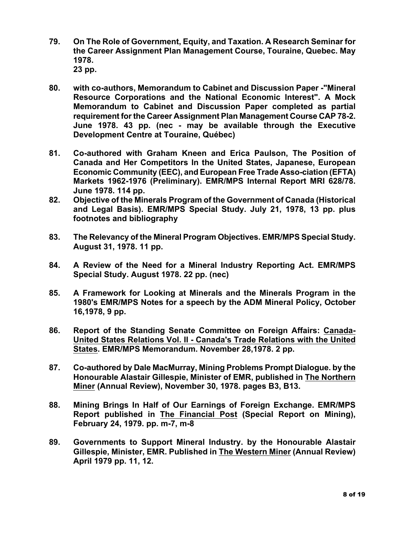- **79. On The Role of Government, Equity, and Taxation. A Research Seminar for the Career Assignment Plan Management Course, Touraine, Quebec. May 1978. 23 pp.**
- **80. with co-authors, Memorandum to Cabinet and Discussion Paper -"Mineral Resource Corporations and the National Economic Interest". A Mock Memorandum to Cabinet and Discussion Paper completed as partial requirement for the Career Assignment Plan Management Course CAP 78-2. June 1978. 43 pp. (nec - may be available through the Executive Development Centre at Touraine, Québec)**
- **81. Co-authored with Graham Kneen and Erica Paulson, The Position of Canada and Her Competitors In the United States, Japanese, European Economic Community (EEC), and European Free Trade Asso-ciation (EFTA) Markets 1962-1976 (Preliminary). EMR/MPS Internal Report MRI 628/78. June 1978. 114 pp.**
- **82. Objective of the Minerals Program of the Government of Canada (Historical and Legal Basis). EMR/MPS Special Study. July 21, 1978, 13 pp. plus footnotes and bibliography**
- **83. The Relevancy of the Mineral Program Objectives. EMR/MPS Special Study. August 31, 1978. 11 pp.**
- **84. A Review of the Need for a Mineral Industry Reporting Act. EMR/MPS Special Study. August 1978. 22 pp. (nec)**
- **85. A Framework for Looking at Minerals and the Minerals Program in the 1980's EMR/MPS Notes for a speech by the ADM Mineral Policy, October 16,1978, 9 pp.**
- **86. Report of the Standing Senate Committee on Foreign Affairs: Canada-United States Relations Vol. II - Canada's Trade Relations with the United States. EMR/MPS Memorandum. November 28,1978. 2 pp.**
- **87. Co-authored by Dale MacMurray, Mining Problems Prompt Dialogue. by the Honourable Alastair Gillespie, Minister of EMR, published in The Northern Miner (Annual Review), November 30, 1978. pages B3, B13.**
- **88. Mining Brings In Half of Our Earnings of Foreign Exchange. EMR/MPS Report published in The Financial Post (Special Report on Mining), February 24, 1979. pp. m-7, m-8**
- **89. Governments to Support Mineral Industry. by the Honourable Alastair Gillespie, Minister, EMR. Published in The Western Miner (Annual Review) April 1979 pp. 11, 12.**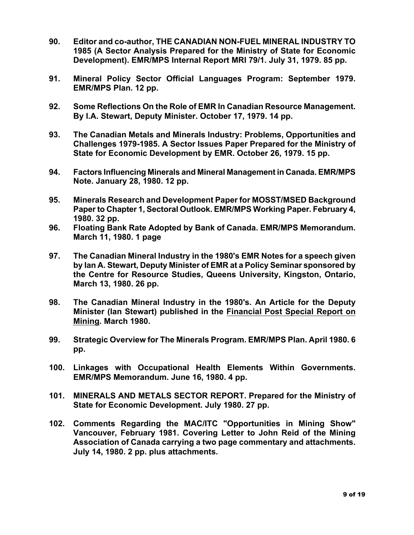- **90. Editor and co-author, THE CANADIAN NON-FUEL MINERAL INDUSTRY TO 1985 (A Sector Analysis Prepared for the Ministry of State for Economic Development). EMR/MPS Internal Report MRI 79/1. July 31, 1979. 85 pp.**
- **91. Mineral Policy Sector Official Languages Program: September 1979. EMR/MPS Plan. 12 pp.**
- **92. Some Reflections On the Role of EMR In Canadian Resource Management. By I.A. Stewart, Deputy Minister. October 17, 1979. 14 pp.**
- **93. The Canadian Metals and Minerals Industry: Problems, Opportunities and Challenges 1979-1985. A Sector Issues Paper Prepared for the Ministry of State for Economic Development by EMR. October 26, 1979. 15 pp.**
- **94. Factors Influencing Minerals and Mineral Management in Canada. EMR/MPS Note. January 28, 1980. 12 pp.**
- **95. Minerals Research and Development Paper for MOSST/MSED Background Paper to Chapter 1, Sectoral Outlook. EMR/MPS Working Paper. February 4, 1980. 32 pp.**
- **96. Floating Bank Rate Adopted by Bank of Canada. EMR/MPS Memorandum. March 11, 1980. 1 page**
- **97. The Canadian Mineral Industry in the 1980's EMR Notes for a speech given by Ian A. Stewart, Deputy Minister of EMR at a Policy Seminar sponsored by the Centre for Resource Studies, Queens University, Kingston, Ontario, March 13, 1980. 26 pp.**
- **98. The Canadian Mineral Industry in the 1980's. An Article for the Deputy Minister (Ian Stewart) published in the Financial Post Special Report on Mining. March 1980.**
- **99. Strategic Overview for The Minerals Program. EMR/MPS Plan. April 1980. 6 pp.**
- **100. Linkages with Occupational Health Elements Within Governments. EMR/MPS Memorandum. June 16, 1980. 4 pp.**
- **101. MINERALS AND METALS SECTOR REPORT. Prepared for the Ministry of State for Economic Development. July 1980. 27 pp.**
- **102. Comments Regarding the MAC/ITC "Opportunities in Mining Show" Vancouver, February 1981. Covering Letter to John Reid of the Mining Association of Canada carrying a two page commentary and attachments. July 14, 1980. 2 pp. plus attachments.**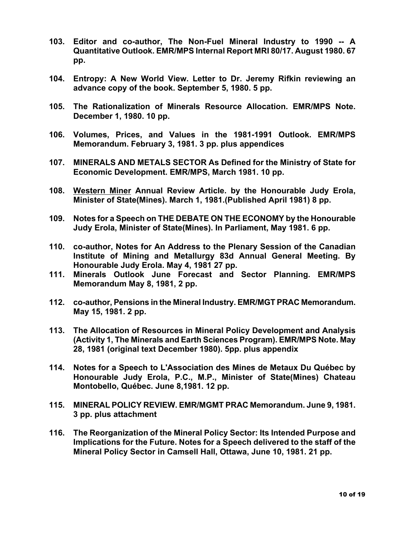- **103. Editor and co-author, The Non-Fuel Mineral Industry to 1990 -- A Quantitative Outlook. EMR/MPS Internal Report MRI 80/17. August 1980. 67 pp.**
- **104. Entropy: A New World View. Letter to Dr. Jeremy Rifkin reviewing an advance copy of the book. September 5, 1980. 5 pp.**
- **105. The Rationalization of Minerals Resource Allocation. EMR/MPS Note. December 1, 1980. 10 pp.**
- **106. Volumes, Prices, and Values in the 1981-1991 Outlook. EMR/MPS Memorandum. February 3, 1981. 3 pp. plus appendices**
- **107. MINERALS AND METALS SECTOR As Defined for the Ministry of State for Economic Development. EMR/MPS, March 1981. 10 pp.**
- **108. Western Miner Annual Review Article. by the Honourable Judy Erola, Minister of State(Mines). March 1, 1981.(Published April 1981) 8 pp.**
- **109. Notes for a Speech on THE DEBATE ON THE ECONOMY by the Honourable Judy Erola, Minister of State(Mines). In Parliament, May 1981. 6 pp.**
- **110. co-author, Notes for An Address to the Plenary Session of the Canadian Institute of Mining and Metallurgy 83d Annual General Meeting. By Honourable Judy Erola. May 4, 1981 27 pp.**
- **111. Minerals Outlook June Forecast and Sector Planning. EMR/MPS Memorandum May 8, 1981, 2 pp.**
- **112. co-author, Pensions in the Mineral Industry. EMR/MGT PRAC Memorandum. May 15, 1981. 2 pp.**
- **113. The Allocation of Resources in Mineral Policy Development and Analysis (Activity 1, The Minerals and Earth Sciences Program). EMR/MPS Note. May 28, 1981 (original text December 1980). 5pp. plus appendix**
- **114. Notes for a Speech to L'Association des Mines de Metaux Du Québec by Honourable Judy Erola, P.C., M.P., Minister of State(Mines) Chateau Montobello, Québec. June 8,1981. 12 pp.**
- **115. MINERAL POLICY REVIEW. EMR/MGMT PRAC Memorandum. June 9, 1981. 3 pp. plus attachment**
- **116. The Reorganization of the Mineral Policy Sector: Its Intended Purpose and Implications for the Future. Notes for a Speech delivered to the staff of the Mineral Policy Sector in Camsell Hall, Ottawa, June 10, 1981. 21 pp.**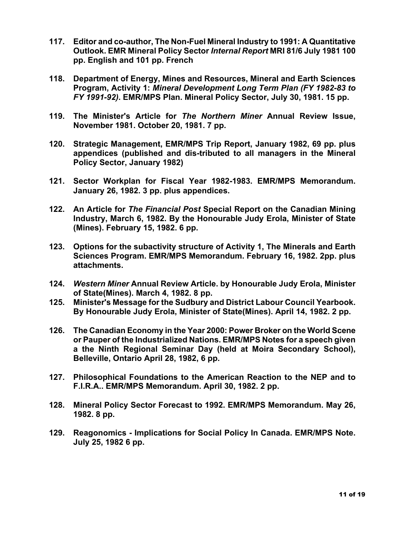- **117. Editor and co-author, The Non-Fuel Mineral Industry to 1991: A Quantitative Outlook. EMR Mineral Policy Sector** *Internal Report* **MRI 81/6 July 1981 100 pp. English and 101 pp. French**
- **118. Department of Energy, Mines and Resources, Mineral and Earth Sciences Program, Activity 1:** *Mineral Development Long Term Plan (FY 1982-83 to FY 1991-92)***. EMR/MPS Plan. Mineral Policy Sector, July 30, 1981. 15 pp.**
- **119. The Minister's Article for** *The Northern Miner* **Annual Review Issue, November 1981. October 20, 1981. 7 pp.**
- **120. Strategic Management, EMR/MPS Trip Report, January 1982, 69 pp. plus appendices (published and dis-tributed to all managers in the Mineral Policy Sector, January 1982)**
- **121. Sector Workplan for Fiscal Year 1982-1983. EMR/MPS Memorandum. January 26, 1982. 3 pp. plus appendices.**
- **122. An Article for** *The Financial Post* **Special Report on the Canadian Mining Industry, March 6, 1982. By the Honourable Judy Erola, Minister of State (Mines). February 15, 1982. 6 pp.**
- **123. Options for the subactivity structure of Activity 1, The Minerals and Earth Sciences Program. EMR/MPS Memorandum. February 16, 1982. 2pp. plus attachments.**
- **124.** *Western Miner* **Annual Review Article. by Honourable Judy Erola, Minister of State(Mines). March 4, 1982. 8 pp.**
- **125. Minister's Message for the Sudbury and District Labour Council Yearbook. By Honourable Judy Erola, Minister of State(Mines). April 14, 1982. 2 pp.**
- **126. The Canadian Economy in the Year 2000: Power Broker on the World Scene or Pauper of the Industrialized Nations. EMR/MPS Notes for a speech given a the Ninth Regional Seminar Day (held at Moira Secondary School), Belleville, Ontario April 28, 1982, 6 pp.**
- **127. Philosophical Foundations to the American Reaction to the NEP and to F.I.R.A.. EMR/MPS Memorandum. April 30, 1982. 2 pp.**
- **128. Mineral Policy Sector Forecast to 1992. EMR/MPS Memorandum. May 26, 1982. 8 pp.**
- **129. Reagonomics - Implications for Social Policy In Canada. EMR/MPS Note. July 25, 1982 6 pp.**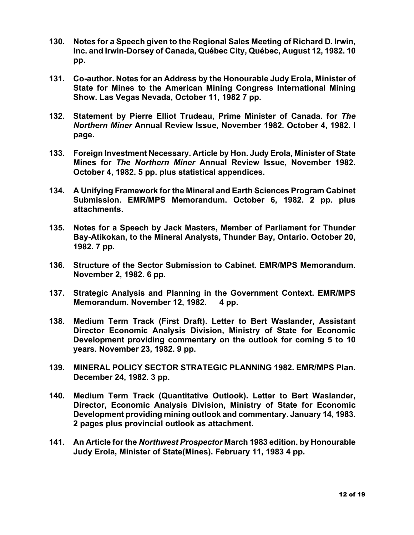- **130. Notes for a Speech given to the Regional Sales Meeting of Richard D. Irwin, Inc. and Irwin-Dorsey of Canada, Québec City, Québec, August 12, 1982. 10 pp.**
- **131. Co-author. Notes for an Address by the Honourable Judy Erola, Minister of State for Mines to the American Mining Congress International Mining Show. Las Vegas Nevada, October 11, 1982 7 pp.**
- **132. Statement by Pierre Elliot Trudeau, Prime Minister of Canada. for** *The Northern Miner* **Annual Review Issue, November 1982. October 4, 1982. l page.**
- **133. Foreign Investment Necessary. Article by Hon. Judy Erola, Minister of State Mines for** *The Northern Miner* **Annual Review Issue, November 1982. October 4, 1982. 5 pp. plus statistical appendices.**
- **134. A Unifying Framework for the Mineral and Earth Sciences Program Cabinet Submission. EMR/MPS Memorandum. October 6, 1982. 2 pp. plus attachments.**
- **135. Notes for a Speech by Jack Masters, Member of Parliament for Thunder Bay-Atikokan, to the Mineral Analysts, Thunder Bay, Ontario. October 20, 1982. 7 pp.**
- **136. Structure of the Sector Submission to Cabinet. EMR/MPS Memorandum. November 2, 1982. 6 pp.**
- **137. Strategic Analysis and Planning in the Government Context. EMR/MPS Memorandum. November 12, 1982. 4 pp.**
- **138. Medium Term Track (First Draft). Letter to Bert Waslander, Assistant Director Economic Analysis Division, Ministry of State for Economic Development providing commentary on the outlook for coming 5 to 10 years. November 23, 1982. 9 pp.**
- **139. MINERAL POLICY SECTOR STRATEGIC PLANNING 1982. EMR/MPS Plan. December 24, 1982. 3 pp.**
- **140. Medium Term Track (Quantitative Outlook). Letter to Bert Waslander, Director, Economic Analysis Division, Ministry of State for Economic Development providing mining outlook and commentary. January 14, 1983. 2 pages plus provincial outlook as attachment.**
- **141. An Article for the** *Northwest Prospector* **March 1983 edition. by Honourable Judy Erola, Minister of State(Mines). February 11, 1983 4 pp.**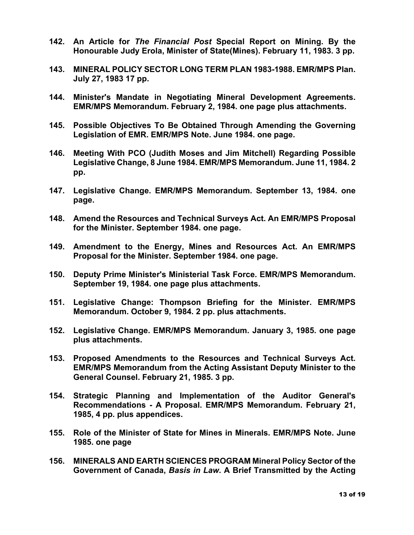- **142. An Article for** *The Financial Post* **Special Report on Mining. By the Honourable Judy Erola, Minister of State(Mines). February 11, 1983. 3 pp.**
- **143. MINERAL POLICY SECTOR LONG TERM PLAN 1983-1988. EMR/MPS Plan. July 27, 1983 17 pp.**
- **144. Minister's Mandate in Negotiating Mineral Development Agreements. EMR/MPS Memorandum. February 2, 1984. one page plus attachments.**
- **145. Possible Objectives To Be Obtained Through Amending the Governing Legislation of EMR. EMR/MPS Note. June 1984. one page.**
- **146. Meeting With PCO (Judith Moses and Jim Mitchell) Regarding Possible Legislative Change, 8 June 1984. EMR/MPS Memorandum. June 11, 1984. 2 pp.**
- **147. Legislative Change. EMR/MPS Memorandum. September 13, 1984. one page.**
- **148. Amend the Resources and Technical Surveys Act. An EMR/MPS Proposal for the Minister. September 1984. one page.**
- **149. Amendment to the Energy, Mines and Resources Act. An EMR/MPS Proposal for the Minister. September 1984. one page.**
- **150. Deputy Prime Minister's Ministerial Task Force. EMR/MPS Memorandum. September 19, 1984. one page plus attachments.**
- **151. Legislative Change: Thompson Briefing for the Minister. EMR/MPS Memorandum. October 9, 1984. 2 pp. plus attachments.**
- **152. Legislative Change. EMR/MPS Memorandum. January 3, 1985. one page plus attachments.**
- **153. Proposed Amendments to the Resources and Technical Surveys Act. EMR/MPS Memorandum from the Acting Assistant Deputy Minister to the General Counsel. February 21, 1985. 3 pp.**
- **154. Strategic Planning and Implementation of the Auditor General's Recommendations - A Proposal. EMR/MPS Memorandum. February 21, 1985, 4 pp. plus appendices.**
- **155. Role of the Minister of State for Mines in Minerals. EMR/MPS Note. June 1985. one page**
- **156. MINERALS AND EARTH SCIENCES PROGRAM Mineral Policy Sector of the Government of Canada,** *Basis in Law***. A Brief Transmitted by the Acting**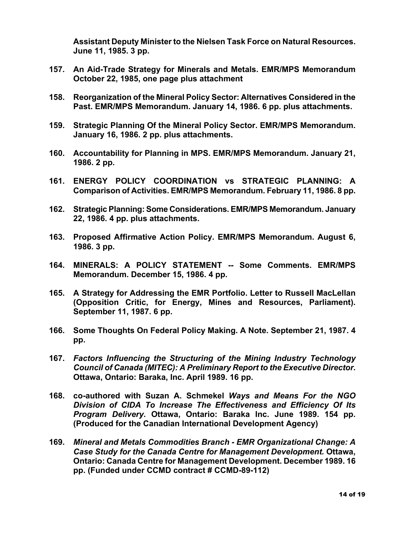**Assistant Deputy Minister to the Nielsen Task Force on Natural Resources. June 11, 1985. 3 pp.**

- **157. An Aid-Trade Strategy for Minerals and Metals. EMR/MPS Memorandum October 22, 1985, one page plus attachment**
- **158. Reorganization of the Mineral Policy Sector: Alternatives Considered in the Past. EMR/MPS Memorandum. January 14, 1986. 6 pp. plus attachments.**
- **159. Strategic Planning Of the Mineral Policy Sector. EMR/MPS Memorandum. January 16, 1986. 2 pp. plus attachments.**
- **160. Accountability for Planning in MPS. EMR/MPS Memorandum. January 21, 1986. 2 pp.**
- **161. ENERGY POLICY COORDINATION vs STRATEGIC PLANNING: A Comparison of Activities. EMR/MPS Memorandum. February 11, 1986. 8 pp.**
- **162. Strategic Planning: Some Considerations. EMR/MPS Memorandum. January 22, 1986. 4 pp. plus attachments.**
- **163. Proposed Affirmative Action Policy. EMR/MPS Memorandum. August 6, 1986. 3 pp.**
- **164. MINERALS: A POLICY STATEMENT -- Some Comments. EMR/MPS Memorandum. December 15, 1986. 4 pp.**
- **165. A Strategy for Addressing the EMR Portfolio. Letter to Russell MacLellan (Opposition Critic, for Energy, Mines and Resources, Parliament). September 11, 1987. 6 pp.**
- **166. Some Thoughts On Federal Policy Making. A Note. September 21, 1987. 4 pp.**
- **167.** *Factors Influencing the Structuring of the Mining Industry Technology Council of Canada (MITEC): A Preliminary Report to the Executive Director***. Ottawa, Ontario: Baraka, Inc. April 1989. 16 pp.**
- **168. co-authored with Suzan A. Schmekel** *Ways and Means For the NGO Division of CIDA To Increase The Effectiveness and Efficiency Of Its Program Delivery***. Ottawa, Ontario: Baraka Inc. June 1989. 154 pp. (Produced for the Canadian International Development Agency)**
- **169.** *Mineral and Metals Commodities Branch - EMR Organizational Change: A Case Study for the Canada Centre for Management Development.* **Ottawa, Ontario: Canada Centre for Management Development. December 1989. 16 pp. (Funded under CCMD contract # CCMD-89-112)**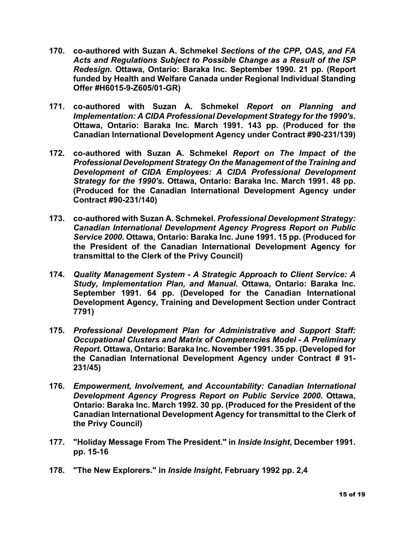- **170. co-authored with Suzan A. Schmekel** *Sections of the CPP, OAS, and FA Acts and Regulations Subject to Possible Change as a Result of the ISP Redesign.* **Ottawa, Ontario: Baraka Inc. September 1990. 21 pp. (Report funded by Health and Welfare Canada under Regional Individual Standing Offer #H6015-9-Z605/01-GR)**
- **171. co-authored with Suzan A. Schmekel** *Report on Planning and Implementation: A CIDA Professional Development Strategy for the 1990's***. Ottawa, Ontario: Baraka Inc. March 1991. 143 pp. (Produced for the Canadian International Development Agency under Contract #90-231/139)**
- **172. co-authored with Suzan A. Schmekel** *Report on The Impact of the Professional Development Strategy On the Management of the Training and Development of CIDA Employees: A CIDA Professional Development Strategy for the 1990's.* **Ottawa, Ontario: Baraka Inc. March 1991. 48 pp. (Produced for the Canadian International Development Agency under Contract #90-231/140)**
- **173. co-authored with Suzan A. Schmekel.** *Professional Development Strategy: Canadian International Development Agency Progress Report on Public Service 2000.* **Ottawa, Ontario: Baraka Inc. June 1991. 15 pp. (Produced for the President of the Canadian International Development Agency for transmittal to the Clerk of the Privy Council)**
- **174.** *Quality Management System - A Strategic Approach to Client Service: A Study, Implementation Plan, and Manual***. Ottawa, Ontario: Baraka Inc. September 1991. 64 pp. (Developed for the Canadian International Development Agency, Training and Development Section under Contract 7791)**
- **175.** *Professional Development Plan for Administrative and Support Staff: Occupational Clusters and Matrix of Competencies Model - A Preliminary Report.* **Ottawa, Ontario: Baraka Inc. November 1991. 35 pp. (Developed for the Canadian International Development Agency under Contract # 91- 231/45)**
- **176.** *Empowerment, Involvement, and Accountability: Canadian International Development Agency Progress Report on Public Service 2000.* **Ottawa, Ontario: Baraka Inc. March 1992. 30 pp. (Produced for the President of the Canadian International Development Agency for transmittal to the Clerk of the Privy Council)**
- **177. "Holiday Message From The President." in** *Inside Insight***, December 1991. pp. 15-16**
- **178. "The New Explorers." in** *Inside Insight***, February 1992 pp. 2,4**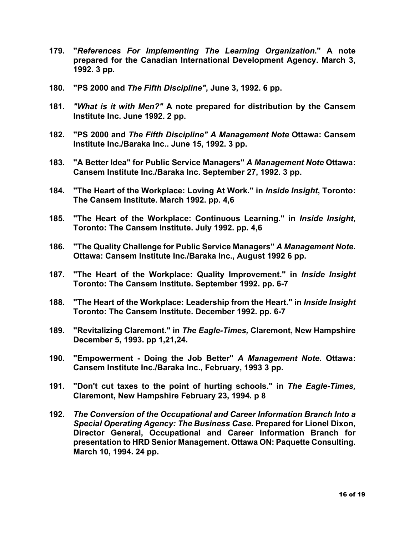- **179. "***References For Implementing The Learning Organization***." A note prepared for the Canadian International Development Agency. March 3, 1992. 3 pp.**
- **180. "PS 2000 and** *The Fifth Discipline"***, June 3, 1992. 6 pp.**
- **181.** *"What is it with Men?"* **A note prepared for distribution by the Cansem Institute Inc. June 1992. 2 pp.**
- **182. "PS 2000 and** *The Fifth Discipline" A Management Note* **Ottawa: Cansem Institute Inc./Baraka Inc.. June 15, 1992. 3 pp.**
- **183. "A Better Idea" for Public Service Managers"** *A Management Note* **Ottawa: Cansem Institute Inc./Baraka Inc. September 27, 1992. 3 pp.**
- **184. "The Heart of the Workplace: Loving At Work." in** *Inside Insight***, Toronto: The Cansem Institute. March 1992. pp. 4,6**
- **185. "The Heart of the Workplace: Continuous Learning." in** *Inside Insight***, Toronto: The Cansem Institute. July 1992. pp. 4,6**
- **186. "The Quality Challenge for Public Service Managers"** *A Management Note.* **Ottawa: Cansem Institute Inc./Baraka Inc., August 1992 6 pp.**
- **187. "The Heart of the Workplace: Quality Improvement." in** *Inside Insight* **Toronto: The Cansem Institute. September 1992. pp. 6-7**
- **188. "The Heart of the Workplace: Leadership from the Heart." in** *Inside Insight* **Toronto: The Cansem Institute. December 1992. pp. 6-7**
- **189. "Revitalizing Claremont." in** *The Eagle-Times,* **Claremont, New Hampshire December 5, 1993. pp 1,21,24.**
- **190. "Empowerment - Doing the Job Better"** *A Management Note.* **Ottawa: Cansem Institute Inc./Baraka Inc., February, 1993 3 pp.**
- **191. "Don't cut taxes to the point of hurting schools." in** *The Eagle-Times,* **Claremont, New Hampshire February 23, 1994. p 8**
- **192.** *The Conversion of the Occupational and Career Information Branch Into a Special Operating Agency: The Business Case***. Prepared for Lionel Dixon, Director General, Occupational and Career Information Branch for presentation to HRD Senior Management. Ottawa ON: Paquette Consulting. March 10, 1994. 24 pp.**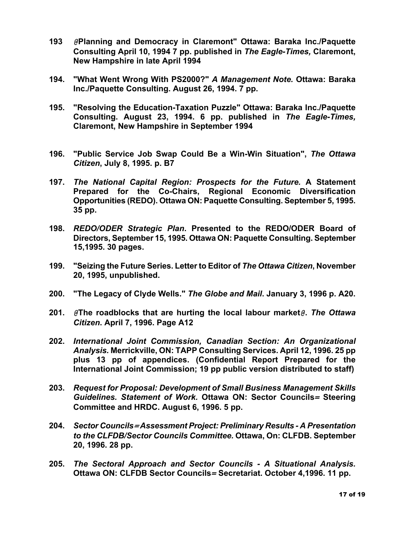- **193** *@***Planning and Democracy in Claremont" Ottawa: Baraka Inc./Paquette Consulting April 10, 1994 7 pp. published in** *The Eagle-Times,* **Claremont, New Hampshire in late April 1994**
- **194. "What Went Wrong With PS2000?"** *A Management Note.* **Ottawa: Baraka Inc./Paquette Consulting. August 26, 1994. 7 pp.**
- **195. "Resolving the Education-Taxation Puzzle" Ottawa: Baraka Inc./Paquette Consulting. August 23, 1994. 6 pp. published in** *The Eagle-Times,* **Claremont, New Hampshire in September 1994**
- **196. "Public Service Job Swap Could Be a Win-Win Situation",** *The Ottawa Citizen***, July 8, 1995. p. B7**
- **197.** *The National Capital Region: Prospects for the Future.* **A Statement Prepared for the Co-Chairs, Regional Economic Diversification Opportunities (REDO). Ottawa ON: Paquette Consulting. September 5, 1995. 35 pp.**
- **198.** *REDO/ODER Strategic Plan***. Presented to the REDO/ODER Board of Directors, September 15, 1995. Ottawa ON: Paquette Consulting. September 15,1995. 30 pages.**
- **199. "Seizing the Future Series. Letter to Editor of** *The Ottawa Citizen***, November 20, 1995, unpublished.**
- **200. "The Legacy of Clyde Wells."** *The Globe and Mail***. January 3, 1996 p. A20.**
- **201.** *@***The roadblocks that are hurting the local labour market***@***.** *The Ottawa Citizen***. April 7, 1996. Page A12**
- **202.** *International Joint Commission, Canadian Section: An Organizational Analysis.* **Merrickville, ON: TAPP Consulting Services. April 12, 1996. 25 pp plus 13 pp of appendices. (Confidential Report Prepared for the International Joint Commission; 19 pp public version distributed to staff)**
- **203.** *Request for Proposal: Development of Small Business Management Skills Guidelines. Statement of Work.* **Ottawa ON: Sector Councils***=* **Steering Committee and HRDC. August 6, 1996. 5 pp.**
- **204.** *Sector Councils<sup>=</sup> Assessment Project: Preliminary Results - A Presentation to the CLFDB/Sector Councils Committee.* **Ottawa, On: CLFDB. September 20, 1996. 28 pp.**
- **205.** *The Sectoral Approach and Sector Councils - A Situational Analysis.* **Ottawa ON: CLFDB Sector Councils***=* **Secretariat. October 4,1996. 11 pp.**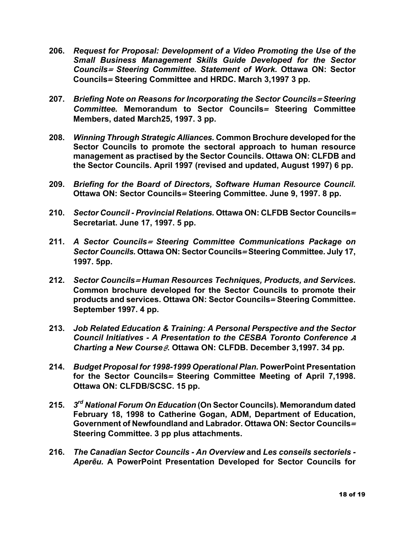- **206.** *Request for Proposal: Development of a Video Promoting the Use of the Small Business Management Skills Guide Developed for the Sector Councils<sup>=</sup> Steering Committee. Statement of Work.* **Ottawa ON: Sector Councils***=* **Steering Committee and HRDC. March 3,1997 3 pp.**
- **207.** *Briefing Note on Reasons for Incorporating the Sector Councils<sup>=</sup> Steering Committee.* **Memorandum to Sector Councils***=* **Steering Committee Members, dated March25, 1997. 3 pp.**
- **208.** *Winning Through Strategic Alliances.* **Common Brochure developed for the Sector Councils to promote the sectoral approach to human resource management as practised by the Sector Councils. Ottawa ON: CLFDB and the Sector Councils. April 1997 (revised and updated, August 1997) 6 pp.**
- **209.** *Briefing for the Board of Directors, Software Human Resource Council.* **Ottawa ON: Sector Councils***=* **Steering Committee. June 9, 1997. 8 pp.**
- **210.** *Sector Council - Provincial Relations.* **Ottawa ON: CLFDB Sector Councils***=* **Secretariat. June 17, 1997. 5 pp.**
- **211.** *A Sector Councils<sup>=</sup> Steering Committee Communications Package on Sector Councils.* **Ottawa ON: Sector Councils***=* **Steering Committee. July 17, 1997. 5pp.**
- **212.** *Sector Councils<sup>=</sup> Human Resources Techniques, Products, and Services.* **Common brochure developed for the Sector Councils to promote their products and services. Ottawa ON: Sector Councils***=* **Steering Committee. September 1997. 4 pp.**
- **213.** *Job Related Education & Training: A Personal Perspective and the Sector Council Initiatives - A Presentation to the CESBA Toronto Conference <sup>A</sup> Charting a New Course@***. Ottawa ON: CLFDB. December 3,1997. 34 pp.**
- **214.** *Budget Proposal for 1998-1999 Operational Plan.* **PowerPoint Presentation for the Sector Councils***=* **Steering Committee Meeting of April 7,1998. Ottawa ON: CLFDB/SCSC. 15 pp.**
- **215.** *3rd National Forum On Education* **(On Sector Councils). Memorandum dated February 18, 1998 to Catherine Gogan, ADM, Department of Education, Government of Newfoundland and Labrador. Ottawa ON: Sector Councils***=* **Steering Committee. 3 pp plus attachments.**
- **216.** *The Canadian Sector Councils - An Overview* **and** *Les conseils sectoriels - Aperēu.* **A PowerPoint Presentation Developed for Sector Councils for**